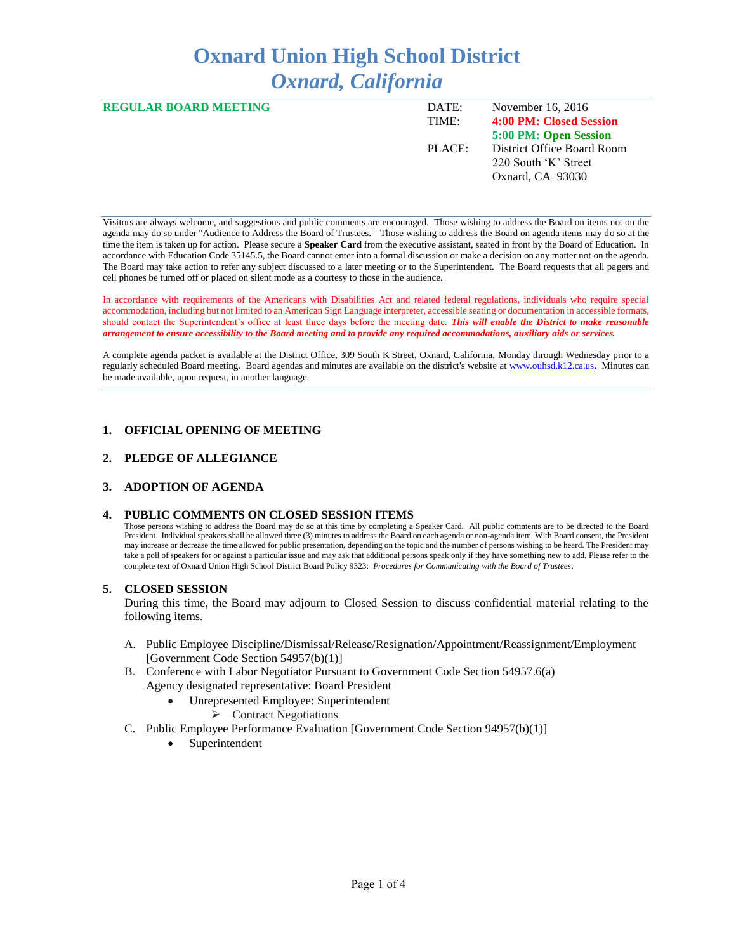# **Oxnard Union High School District** *Oxnard, California*

| <b>REGULAR BOARD MEETING</b> | DATE:<br>TIME: | November 16, 2016<br>4:00 PM: Closed Session |
|------------------------------|----------------|----------------------------------------------|
|                              |                |                                              |
|                              |                | 5:00 PM: Open Session                        |
|                              | PLACE:         | District Office Board Room                   |
|                              |                | 220 South 'K' Street                         |
|                              |                | Oxnard, CA 93030                             |
|                              |                |                                              |

Visitors are always welcome, and suggestions and public comments are encouraged. Those wishing to address the Board on items not on the agenda may do so under "Audience to Address the Board of Trustees." Those wishing to address the Board on agenda items may do so at the time the item is taken up for action. Please secure a **Speaker Card** from the executive assistant, seated in front by the Board of Education. In accordance with Education Code 35145.5, the Board cannot enter into a formal discussion or make a decision on any matter not on the agenda. The Board may take action to refer any subject discussed to a later meeting or to the Superintendent. The Board requests that all pagers and cell phones be turned off or placed on silent mode as a courtesy to those in the audience.

In accordance with requirements of the Americans with Disabilities Act and related federal regulations, individuals who require special accommodation, including but not limited to an American Sign Language interpreter, accessible seating or documentation in accessible formats, should contact the Superintendent's office at least three days before the meeting date. *This will enable the District to make reasonable arrangement to ensure accessibility to the Board meeting and to provide any required accommodations, auxiliary aids or services.* 

A complete agenda packet is available at the District Office, 309 South K Street, Oxnard, California, Monday through Wednesday prior to a regularly scheduled Board meeting. Board agendas and minutes are available on the district's website a[t www.ouhsd.k12.ca.us.](http://www.ouhsd.k12.ca.us/)Minutes can be made available, upon request, in another language.

# **1. OFFICIAL OPENING OF MEETING**

#### **2. PLEDGE OF ALLEGIANCE**

#### **3. ADOPTION OF AGENDA**

#### **4. PUBLIC COMMENTS ON CLOSED SESSION ITEMS**

Those persons wishing to address the Board may do so at this time by completing a Speaker Card. All public comments are to be directed to the Board President. Individual speakers shall be allowed three (3) minutes to address the Board on each agenda or non-agenda item. With Board consent, the President may increase or decrease the time allowed for public presentation, depending on the topic and the number of persons wishing to be heard. The President may take a poll of speakers for or against a particular issue and may ask that additional persons speak only if they have something new to add. Please refer to the complete text of Oxnard Union High School District Board Policy 9323: *Procedures for Communicating with the Board of Trustees*.

#### **5. CLOSED SESSION**

During this time, the Board may adjourn to Closed Session to discuss confidential material relating to the following items.

- A. Public Employee Discipline/Dismissal/Release/Resignation/Appointment/Reassignment/Employment [Government Code Section 54957(b)(1)]
- B. Conference with Labor Negotiator Pursuant to Government Code Section 54957.6(a) Agency designated representative: Board President
	- Unrepresented Employee: Superintendent
		- $\triangleright$  Contract Negotiations
- C. Public Employee Performance Evaluation [Government Code Section 94957(b)(1)]
	- Superintendent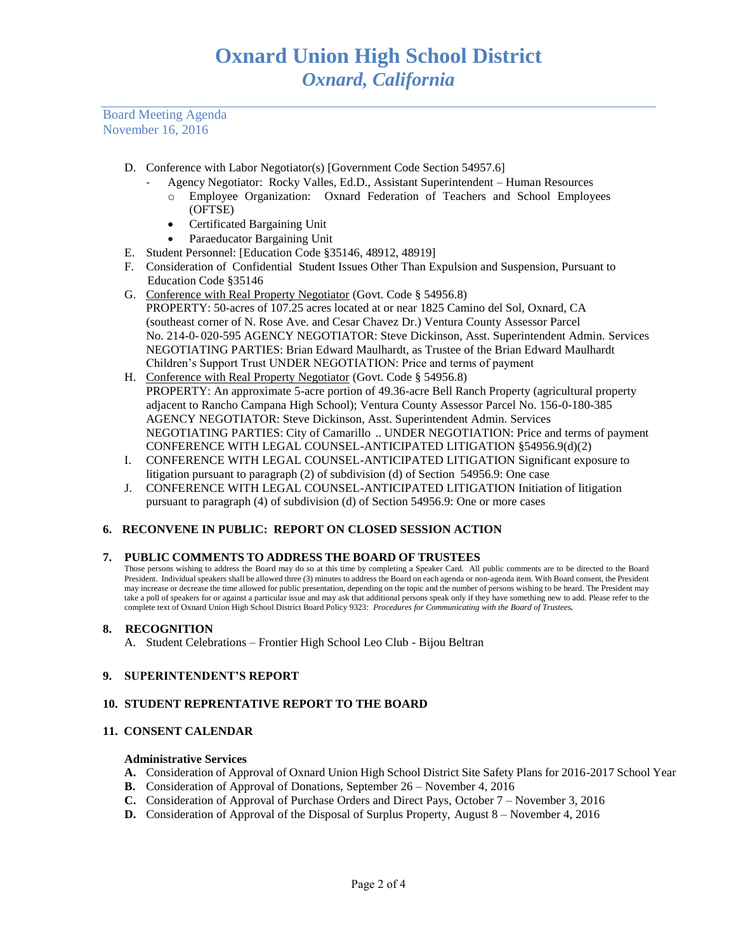Board Meeting Agenda November 16, 2016

- D. Conference with Labor Negotiator(s) [Government Code Section 54957.6]
	- Agency Negotiator: Rocky Valles, Ed.D., Assistant Superintendent Human Resources
		- o Employee Organization: Oxnard Federation of Teachers and School Employees (OFTSE)
		- Certificated Bargaining Unit
		- Paraeducator Bargaining Unit
- E. Student Personnel: [Education Code §35146, 48912, 48919]
- F. Consideration of Confidential Student Issues Other Than Expulsion and Suspension, Pursuant to Education Code §35146
- G. Conference with Real Property Negotiator (Govt. Code § 54956.8) PROPERTY: 50-acres of 107.25 acres located at or near 1825 Camino del Sol, Oxnard, CA (southeast corner of N. Rose Ave. and Cesar Chavez Dr.) Ventura County Assessor Parcel No. 214-0- 020-595 AGENCY NEGOTIATOR: Steve Dickinson, Asst. Superintendent Admin. Services NEGOTIATING PARTIES: Brian Edward Maulhardt, as Trustee of the Brian Edward Maulhardt Children's Support Trust UNDER NEGOTIATION: Price and terms of payment
- H. Conference with Real Property Negotiator (Govt. Code § 54956.8) PROPERTY: An approximate 5-acre portion of 49.36-acre Bell Ranch Property (agricultural property adjacent to Rancho Campana High School); Ventura County Assessor Parcel No. 156-0-180-385 AGENCY NEGOTIATOR: Steve Dickinson, Asst. Superintendent Admin. Services NEGOTIATING PARTIES: City of Camarillo .. UNDER NEGOTIATION: Price and terms of payment CONFERENCE WITH LEGAL COUNSEL-ANTICIPATED LITIGATION §54956.9(d)(2)
- I. CONFERENCE WITH LEGAL COUNSEL-ANTICIPATED LITIGATION Significant exposure to litigation pursuant to paragraph (2) of subdivision (d) of Section 54956.9: One case
- J. CONFERENCE WITH LEGAL COUNSEL-ANTICIPATED LITIGATION Initiation of litigation pursuant to paragraph (4) of subdivision (d) of Section 54956.9: One or more cases

# **6. RECONVENE IN PUBLIC: REPORT ON CLOSED SESSION ACTION**

# **7. PUBLIC COMMENTS TO ADDRESS THE BOARD OF TRUSTEES**

Those persons wishing to address the Board may do so at this time by completing a Speaker Card. All public comments are to be directed to the Board President. Individual speakers shall be allowed three (3) minutes to address the Board on each agenda or non-agenda item. With Board consent, the President may increase or decrease the time allowed for public presentation, depending on the topic and the number of persons wishing to be heard. The President may take a poll of speakers for or against a particular issue and may ask that additional persons speak only if they have something new to add. Please refer to the complete text of Oxnard Union High School District Board Policy 9323: *Procedures for Communicating with the Board of Trustees.*

# **8. RECOGNITION**

A. Student Celebrations – Frontier High School Leo Club - Bijou Beltran

# **9. SUPERINTENDENT'S REPORT**

# **10. STUDENT REPRENTATIVE REPORT TO THE BOARD**

# **11. CONSENT CALENDAR**

#### **Administrative Services**

- **A.** Consideration of Approval of Oxnard Union High School District Site Safety Plans for 2016-2017 School Year
- **B.** Consideration of Approval of Donations, September 26 November 4, 2016
- **C.** Consideration of Approval of Purchase Orders and Direct Pays, October 7 November 3, 2016
- **D.** Consideration of Approval of the Disposal of Surplus Property, August 8 November 4, 2016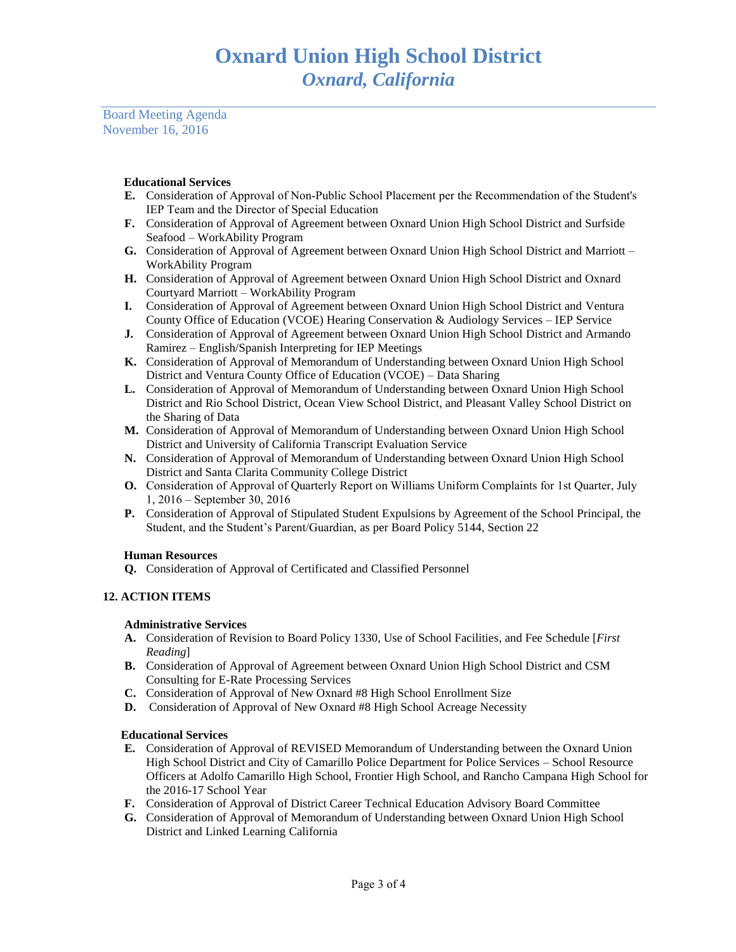Board Meeting Agenda November 16, 2016

# **Educational Services**

- **E.** Consideration of Approval of Non-Public School Placement per the Recommendation of the Student's IEP Team and the Director of Special Education
- **F.** Consideration of Approval of Agreement between Oxnard Union High School District and Surfside Seafood – WorkAbility Program
- **G.** Consideration of Approval of Agreement between Oxnard Union High School District and Marriott WorkAbility Program
- **H.** Consideration of Approval of Agreement between Oxnard Union High School District and Oxnard Courtyard Marriott – WorkAbility Program
- **I.** Consideration of Approval of Agreement between Oxnard Union High School District and Ventura County Office of Education (VCOE) Hearing Conservation & Audiology Services – IEP Service
- **J.** Consideration of Approval of Agreement between Oxnard Union High School District and Armando Ramirez – English/Spanish Interpreting for IEP Meetings
- **K.** Consideration of Approval of Memorandum of Understanding between Oxnard Union High School District and Ventura County Office of Education (VCOE) – Data Sharing
- **L.** Consideration of Approval of Memorandum of Understanding between Oxnard Union High School District and Rio School District, Ocean View School District, and Pleasant Valley School District on the Sharing of Data
- **M.** Consideration of Approval of Memorandum of Understanding between Oxnard Union High School District and University of California Transcript Evaluation Service
- **N.** Consideration of Approval of Memorandum of Understanding between Oxnard Union High School District and Santa Clarita Community College District
- **O.** Consideration of Approval of Quarterly Report on Williams Uniform Complaints for 1st Quarter, July 1, 2016 – September 30, 2016
- **P.** Consideration of Approval of Stipulated Student Expulsions by Agreement of the School Principal, the Student, and the Student's Parent/Guardian, as per Board Policy 5144, Section 22

# **Human Resources**

**Q.** Consideration of Approval of Certificated and Classified Personnel

# **12. ACTION ITEMS**

# **Administrative Services**

- **A.** Consideration of Revision to Board Policy 1330, Use of School Facilities, and Fee Schedule [*First Reading*]
- **B.** Consideration of Approval of Agreement between Oxnard Union High School District and CSM Consulting for E-Rate Processing Services
- **C.** Consideration of Approval of New Oxnard #8 High School Enrollment Size
- **D.** Consideration of Approval of New Oxnard #8 High School Acreage Necessity

# **Educational Services**

- **E.** Consideration of Approval of REVISED Memorandum of Understanding between the Oxnard Union High School District and City of Camarillo Police Department for Police Services – School Resource Officers at Adolfo Camarillo High School, Frontier High School, and Rancho Campana High School for the 2016-17 School Year
- **F.** Consideration of Approval of District Career Technical Education Advisory Board Committee
- **G.** Consideration of Approval of Memorandum of Understanding between Oxnard Union High School District and Linked Learning California